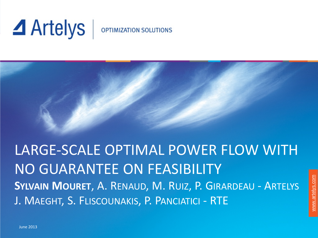# $\blacktriangle$  Artelys

#### **OPTIMIZATION SOLUTIONS**

LARGE-SCALE OPTIMAL POWER FLOW WITH NO GUARANTEE ON FEASIBILITY **SYLVAIN MOURET**, A. RENAUD, M. RUIZ, P. GIRARDEAU - ARTELYS J. MAEGHT, S. FLISCOUNAKIS, P. PANCIATICI - RTE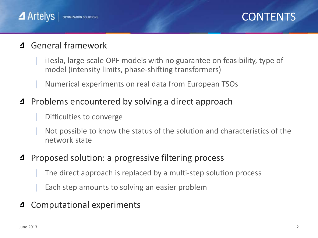

#### General framework 4

- iTesla, large-scale OPF models with no guarantee on feasibility, type of model (intensity limits, phase-shifting transformers)
- | Numerical experiments on real data from European TSOs
- Problems encountered by solving a direct approach 4
	- | Difficulties to converge
	- | Not possible to know the status of the solution and characteristics of the network state

#### Proposed solution: a progressive filtering process 4

- The direct approach is replaced by a multi-step solution process
- Each step amounts to solving an easier problem
- Computational experiments 4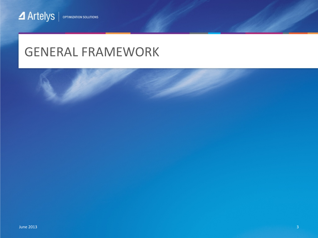## GENERAL FRAMEWORK

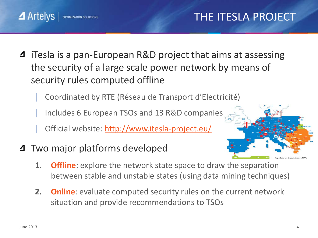## THE ITESLA PROJECT

- iTesla is a pan-European R&D project that aims at assessing  $\Delta$ the security of a large scale power network by means of security rules computed offline
	- | Coordinated by RTE (Réseau de Transport d'Electricité)
	- | Includes 6 European TSOs and 13 R&D companies
	- Official website: <http://www.itesla-project.eu/>
- **4** Two major platforms developed

**OPTIMIZATION SOLUTIONS** 



- **1. Offline**: explore the network state space to draw the separation between stable and unstable states (using data mining techniques)
- **2. Online**: evaluate computed security rules on the current network situation and provide recommendations to TSOs

 $\blacktriangle$  Artelys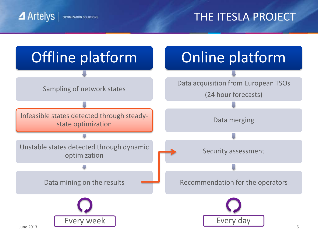**4** Artelys **OPTIMIZATION SOLUTIONS**  THE ITESLA PROJECT

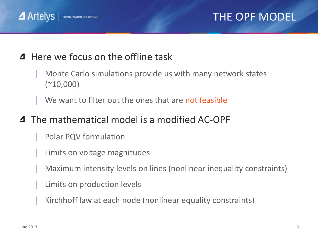

#### THE OPF MODEL

#### Here we focus on the offline task  $\Delta$

- | Monte Carlo simulations provide us with many network states  $(*10,000)$
- We want to filter out the ones that are not feasible

#### **4** The mathematical model is a modified AC-OPF

- | Polar PQV formulation
- Limits on voltage magnitudes
- | Maximum intensity levels on lines (nonlinear inequality constraints)
- Limits on production levels
- | Kirchhoff law at each node (nonlinear equality constraints)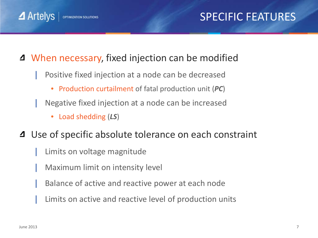### SPECIFIC FEATURES

#### When necessary, fixed injection can be modified

- | Positive fixed injection at a node can be decreased
	- Production curtailment of fatal production unit (*PC*)
- | Negative fixed injection at a node can be increased
	- Load shedding (*LS*)

**OPTIMIZATION SOLUTIONS** 

- Use of specific absolute tolerance on each constraint  $\Delta$ 
	- Limits on voltage magnitude
	- | Maximum limit on intensity level
	- | Balance of active and reactive power at each node
	- Limits on active and reactive level of production units

 $\blacktriangle$  Artelys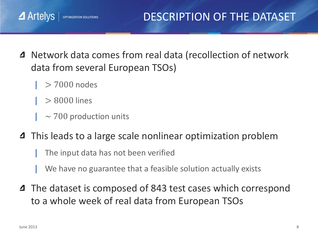- Network data comes from real data (recollection of network  $\Delta$ data from several European TSOs)
	- $> 7000$  nodes

OPTIMIZATION SOLUTIONS

 $\blacktriangle$  Artelys

- | > 8000 lines
- $\sim$  700 production units
- **4** This leads to a large scale nonlinear optimization problem
	- The input data has not been verified
	- We have no guarantee that a feasible solution actually exists
- **4** The dataset is composed of 843 test cases which correspond to a whole week of real data from European TSOs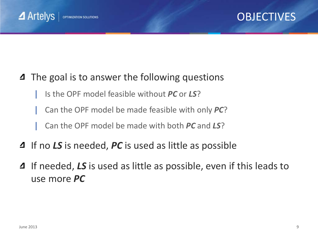

#### **OBJECTIVES**

#### **4** The goal is to answer the following questions

| Is the OPF model feasible without *PC* or *LS*?

| Can the OPF model be made feasible with only *PC*?

| Can the OPF model be made with both *PC* and *LS*?

- If no *LS* is needed, *PC* is used as little as possible
- **4** If needed, LS is used as little as possible, even if this leads to use more *PC*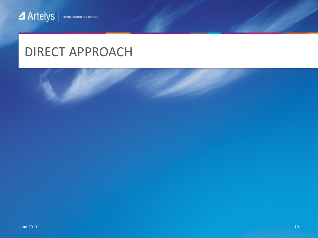## DIRECT APPROACH

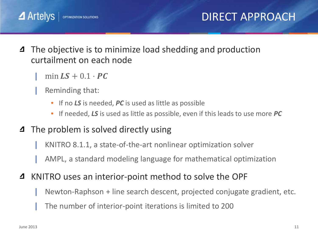- The objective is to minimize load shedding and production 4 curtailment on each node
	- $min LS + 0.1 \cdot PC$
	- Reminding that:
		- If no *LS* is needed, *PC* is used as little as possible
		- If needed, *LS* is used as little as possible, even if this leads to use more *PC*
- The problem is solved directly using ⊿
	- | KNITRO 8.1.1, a state-of-the-art nonlinear optimization solver
	- | AMPL, a standard modeling language for mathematical optimization
- KNITRO uses an interior-point method to solve the OPF 4
	- Newton-Raphson + line search descent, projected conjugate gradient, etc.
	- | The number of interior-point iterations is limited to 200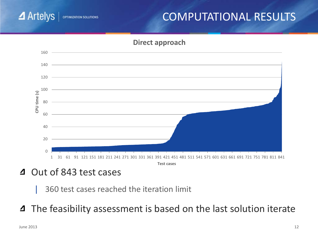

#### COMPUTATIONAL RESULTS



4 Out of 843 test cases

- | 360 test cases reached the iteration limit
- The feasibility assessment is based on the last solution iterate ◢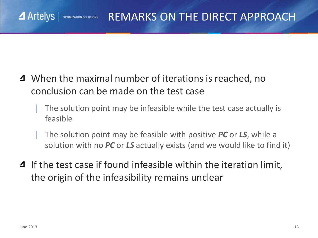#### $\blacktriangle$  Artelys REMARKS ON THE DIRECT APPROACH OPTIMIZATION SOLUTIONS

- When the maximal number of iterations is reached, no conclusion can be made on the test case
	- The solution point may be infeasible while the test case actually is feasible
	- | The solution point may be feasible with positive *PC* or *LS*, while a solution with no *PC* or *LS* actually exists (and we would like to find it)
- **4** If the test case if found infeasible within the iteration limit, the origin of the infeasibility remains unclear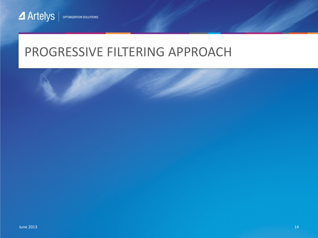## PROGRESSIVE FILTERING APPROACH

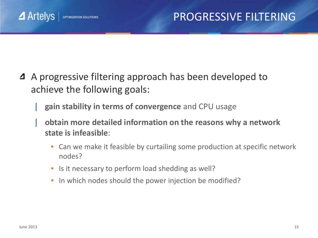#### PROGRESSIVE FILTERING

- A progressive filtering approach has been developed to ⊿ achieve the following goals:
	- | **gain stability in terms of convergence** and CPU usage
	- | **obtain more detailed information on the reasons why a network state is infeasible**:
		- Can we make it feasible by curtailing some production at specific network nodes?
		- Is it necessary to perform load shedding as well?
		- In which nodes should the power injection be modified?

 $\blacktriangle$  Artelys

**OPTIMIZATION SOLUTIONS**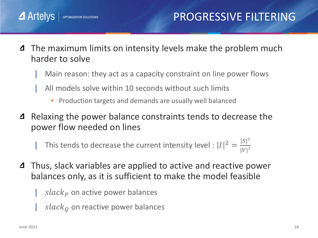- The maximum limits on intensity levels make the problem much 4 harder to solve
	- | Main reason: they act as a capacity constraint on line power flows
	- | All models solve within 10 seconds without such limits
		- Production targets and demands are usually well balanced
- 4 Relaxing the power balance constraints tends to decrease the power flow needed on lines

| This tends to decrease the current intensity level :  $|I|^2 = \frac{|S|^2}{|V|^2}$  $|V|^2$ 

- Thus, slack variables are applied to active and reactive power 4 balances only, as it is sufficient to make the model feasible
	- $slack<sub>p</sub>$  on active power balances
	- $slack<sub>0</sub>$  on reactive power balances

 $\blacktriangle$  Artelys

**OPTIMIZATION SOLUTIONS**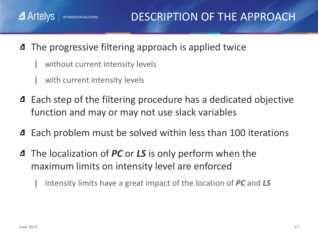- **4** The progressive filtering approach is applied twice
	- without current intensity levels
	- with current intensity levels

**OPTIMIZATION SOLUTIONS** 

- Each step of the filtering procedure has a dedicated objective function and may or may not use slack variables
- Each problem must be solved within less than 100 iterations 4
- The localization of *PC* or *LS* is only perform when the  $\Delta$ maximum limits on intensity level are enforced

| Intensity limits have a great impact of the location of *PC* and *LS*

 $\blacktriangle$  Artelys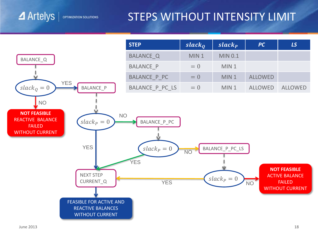#### STEPS WITHOUT INTENSITY LIMIT



 $\blacktriangle$  Artelys

OPTIMIZATION SOLUTIONS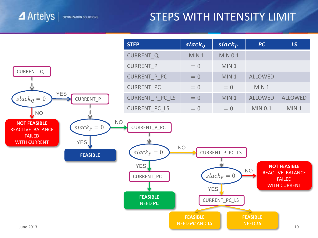#### STEPS WITH INTENSITY LIMIT

 $\blacktriangle$  Artelys

OPTIMIZATION SOLUTIONS

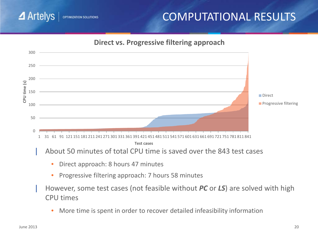#### $\blacktriangle$  Artelys OPTIMIZATION SOLUTIONS

### COMPUTATIONAL RESULTS



| However, some test cases (not feasible without *PC* or *LS*) are solved with high CPU times

• More time is spent in order to recover detailed infeasibility information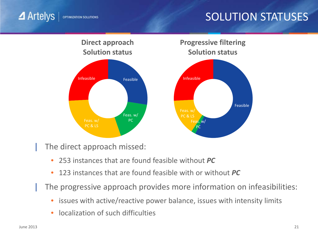### SOLUTION STATUSES



The direct approach missed:

- 253 instances that are found feasible without *PC*
- 123 instances that are found feasible with or without *PC*

The progressive approach provides more information on infeasibilities:

- issues with active/reactive power balance, issues with intensity limits
- localization of such difficulties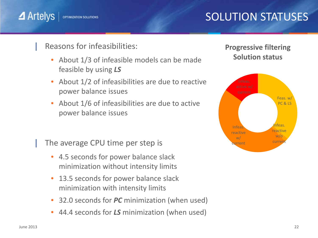## SOLUTION STATUSES

 $\blacktriangle$  Artelys **OPTIMIZATION SOLUTIONS** 

Reasons for infeasibilities:

- About 1/3 of infeasible models can be made feasible by using *LS*
- About 1/2 of infeasibilities are due to reactive power balance issues
- About 1/6 of infeasibilities are due to active power balance issues

The average CPU time per step is

- 4.5 seconds for power balance slack minimization without intensity limits
- 13.5 seconds for power balance slack minimization with intensity limits
- 32.0 seconds for *PC* minimization (when used)
- 44.4 seconds for *LS* minimization (when used)

#### **Progressive filtering Solution status**

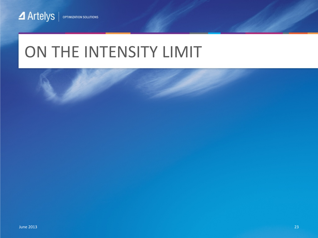## ON THE INTENSITY LIMIT

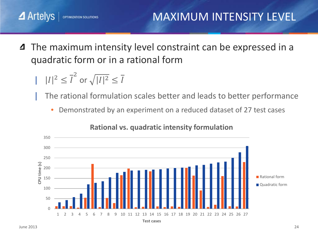MAXIMUM INTENSITY LEVEL

The maximum intensity level constraint can be expressed in a 4 quadratic form or in a rational form

$$
| |I|^2 \leq \overline{I}^2 \text{ or } \sqrt{|I|^2} \leq \overline{I}
$$

**OPTIMIZATION SOLUTIONS** 

| The rational formulation scales better and leads to better performance

• Demonstrated by an experiment on a reduced dataset of 27 test cases



#### **Rational vs. quadratic intensity formulation**

 $\blacktriangle$  Artelys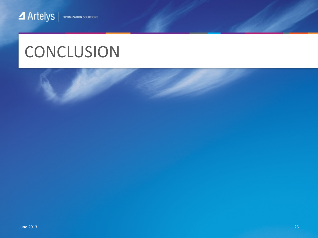## **CONCLUSION**

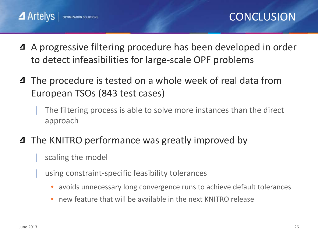- A progressive filtering procedure has been developed in order ◢ to detect infeasibilities for large-scale OPF problems
- **4** The procedure is tested on a whole week of real data from European TSOs (843 test cases)
	- The filtering process is able to solve more instances than the direct approach
- **4** The KNITRO performance was greatly improved by
	- | scaling the model
	- using constraint-specific feasibility tolerances
		- avoids unnecessary long convergence runs to achieve default tolerances
		- new feature that will be available in the next KNITRO release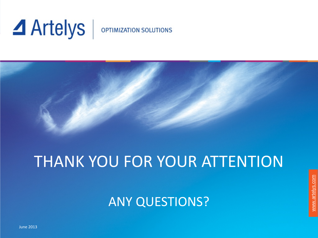# **⊿** Artelys

#### **OPTIMIZATION SOLUTIONS**



## THANK YOU FOR YOUR ATTENTION

ANY QUESTIONS?